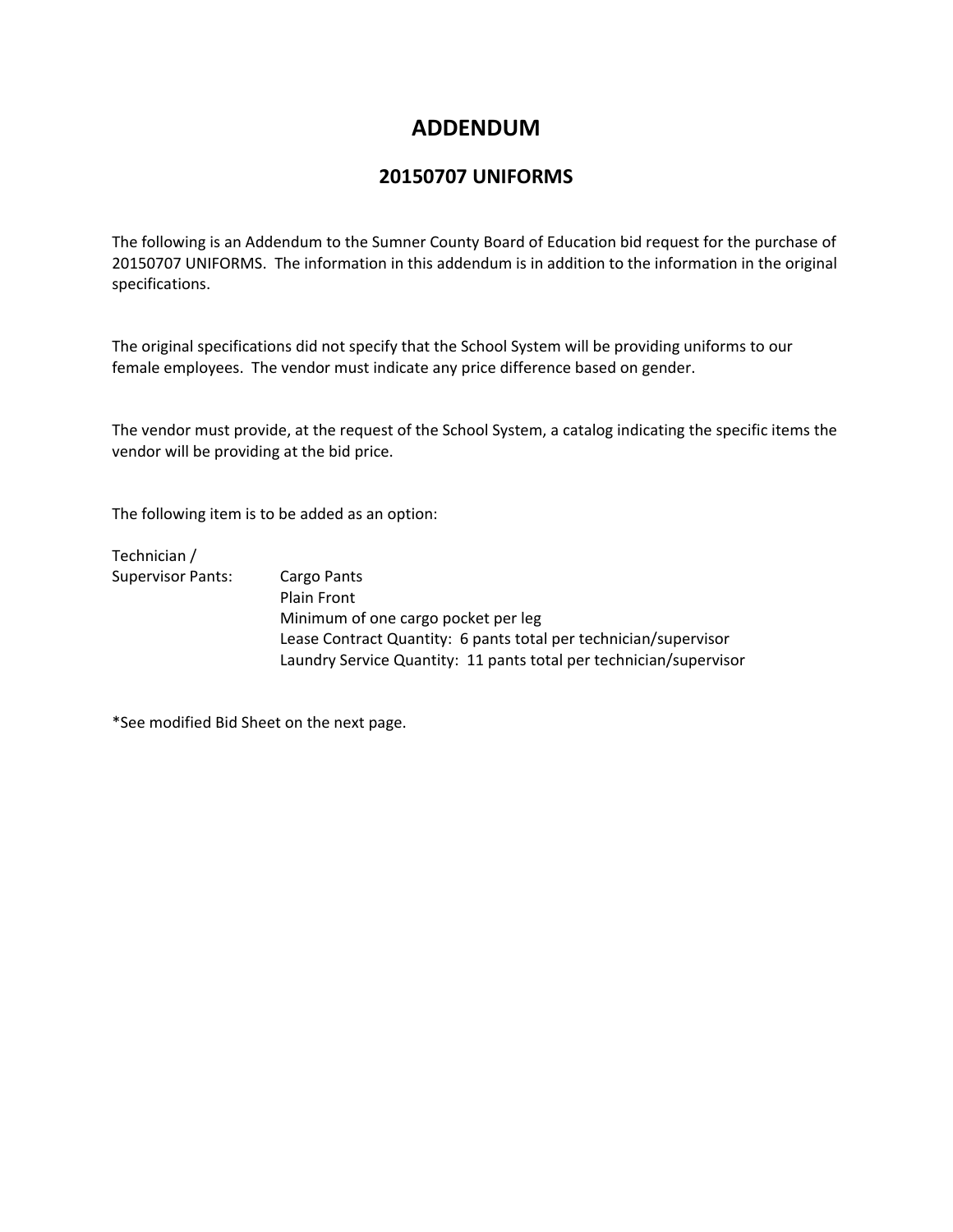## **ADDENDUM**

## **20150707 UNIFORMS**

The following is an Addendum to the Sumner County Board of Education bid request for the purchase of 20150707 UNIFORMS. The information in this addendum is in addition to the information in the original specifications.

The original specifications did not specify that the School System will be providing uniforms to our female employees. The vendor must indicate any price difference based on gender.

The vendor must provide, at the request of the School System, a catalog indicating the specific items the vendor will be providing at the bid price.

The following item is to be added as an option:

Technician / Supervisor Pants: Cargo Pants

 Plain Front Minimum of one cargo pocket per leg Lease Contract Quantity: 6 pants total per technician/supervisor Laundry Service Quantity: 11 pants total per technician/supervisor

\*See modified Bid Sheet on the next page.